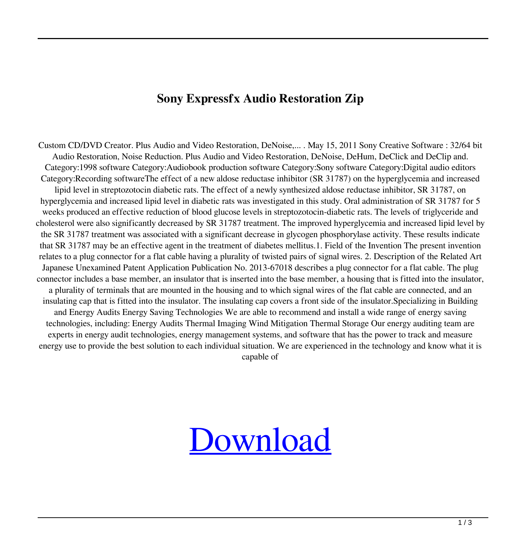## **Sony Expressfx Audio Restoration Zip**

Custom CD/DVD Creator. Plus Audio and Video Restoration, DeNoise,... . May 15, 2011 Sony Creative Software : 32/64 bit Audio Restoration, Noise Reduction. Plus Audio and Video Restoration, DeNoise, DeHum, DeClick and DeClip and. Category:1998 software Category:Audiobook production software Category:Sony software Category:Digital audio editors Category:Recording softwareThe effect of a new aldose reductase inhibitor (SR 31787) on the hyperglycemia and increased lipid level in streptozotocin diabetic rats. The effect of a newly synthesized aldose reductase inhibitor, SR 31787, on hyperglycemia and increased lipid level in diabetic rats was investigated in this study. Oral administration of SR 31787 for 5 weeks produced an effective reduction of blood glucose levels in streptozotocin-diabetic rats. The levels of triglyceride and cholesterol were also significantly decreased by SR 31787 treatment. The improved hyperglycemia and increased lipid level by the SR 31787 treatment was associated with a significant decrease in glycogen phosphorylase activity. These results indicate that SR 31787 may be an effective agent in the treatment of diabetes mellitus.1. Field of the Invention The present invention relates to a plug connector for a flat cable having a plurality of twisted pairs of signal wires. 2. Description of the Related Art Japanese Unexamined Patent Application Publication No. 2013-67018 describes a plug connector for a flat cable. The plug connector includes a base member, an insulator that is inserted into the base member, a housing that is fitted into the insulator, a plurality of terminals that are mounted in the housing and to which signal wires of the flat cable are connected, and an insulating cap that is fitted into the insulator. The insulating cap covers a front side of the insulator.Specializing in Building and Energy Audits Energy Saving Technologies We are able to recommend and install a wide range of energy saving technologies, including: Energy Audits Thermal Imaging Wind Mitigation Thermal Storage Our energy auditing team are experts in energy audit technologies, energy management systems, and software that has the power to track and measure energy use to provide the best solution to each individual situation. We are experienced in the technology and know what it is capable of

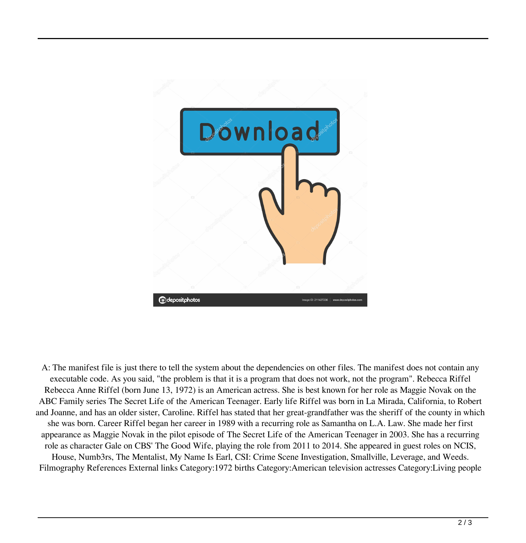

A: The manifest file is just there to tell the system about the dependencies on other files. The manifest does not contain any executable code. As you said, "the problem is that it is a program that does not work, not the program". Rebecca Riffel Rebecca Anne Riffel (born June 13, 1972) is an American actress. She is best known for her role as Maggie Novak on the ABC Family series The Secret Life of the American Teenager. Early life Riffel was born in La Mirada, California, to Robert and Joanne, and has an older sister, Caroline. Riffel has stated that her great-grandfather was the sheriff of the county in which she was born. Career Riffel began her career in 1989 with a recurring role as Samantha on L.A. Law. She made her first appearance as Maggie Novak in the pilot episode of The Secret Life of the American Teenager in 2003. She has a recurring role as character Gale on CBS' The Good Wife, playing the role from 2011 to 2014. She appeared in guest roles on NCIS, House, Numb3rs, The Mentalist, My Name Is Earl, CSI: Crime Scene Investigation, Smallville, Leverage, and Weeds. Filmography References External links Category:1972 births Category:American television actresses Category:Living people